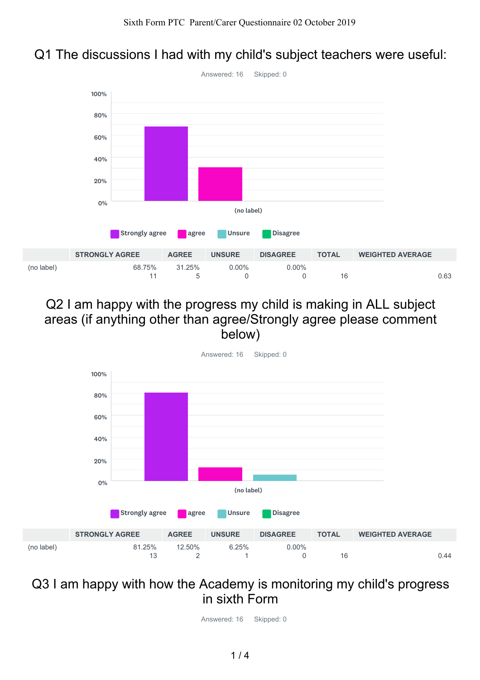#### Q1 The discussions I had with my child's subject teachers were useful:



#### Q2 I am happy with the progress my child is making in ALL subject areas (if anything other than agree/Strongly agree please comment below)



## Q3 I am happy with how the Academy is monitoring my child's progress in sixth Form

Answered: 16 Skipped: 0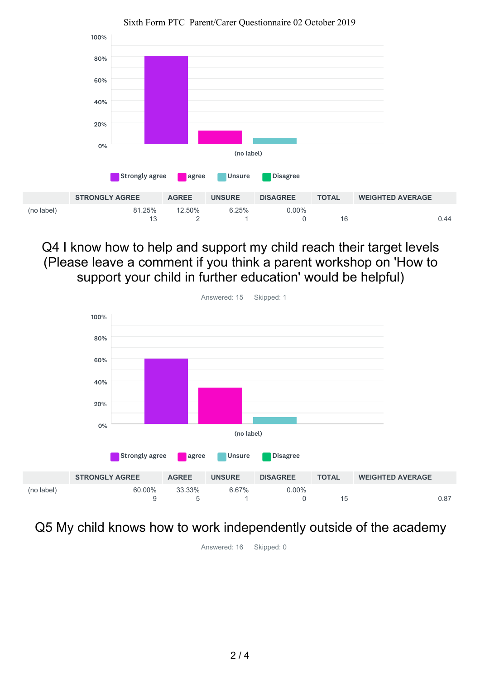

Sixth Form PTC Parent/Carer Questionnaire 02 October 2019

Q4 I know how to help and support my child reach their target levels (Please leave a comment if you think a parent workshop on 'How to support your child in further education' would be helpful)



Q5 My child knows how to work independently outside of the academy

Answered: 16 Skipped: 0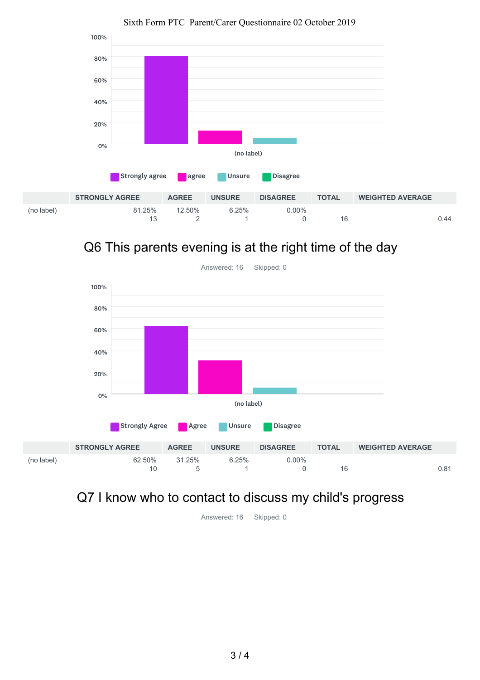

#### Sixth Form PTC Parent/Carer Questionnaire 02 October 2019

## Q6 This parents evening is at the right time of the day



## Q7 I know who to contact to discuss my child's progress

Answered: 16 Skipped: 0